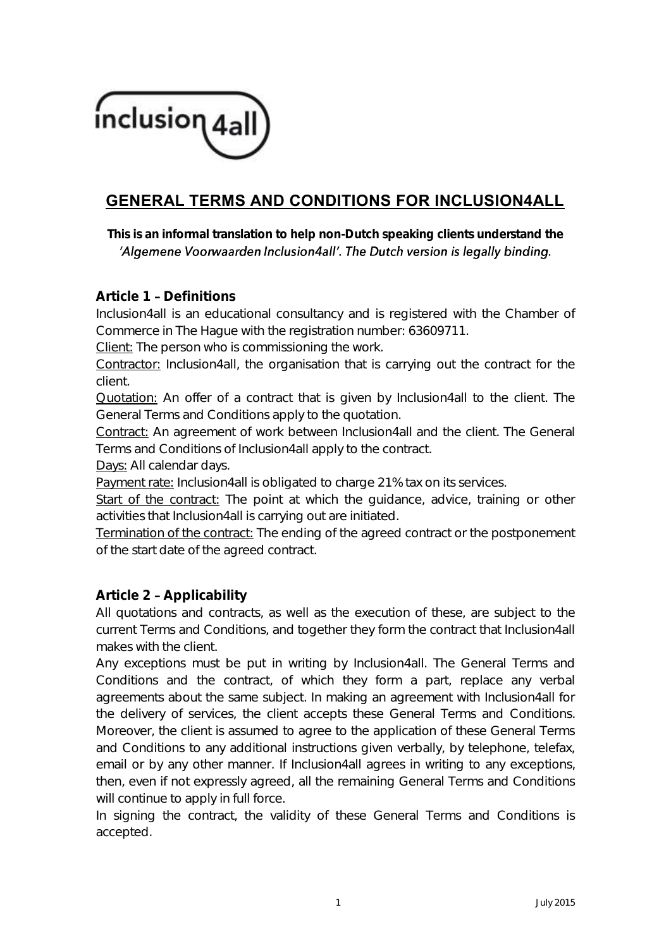

# **GENERAL TERMS AND CONDITIONS FOR INCLUSION4ALL**

*This is an informal translation to help non-Dutch speaking clients understand the*  'Algemene Voorwaarden Inclusion4all'. The Dutch version is legally binding.

## **Article 1 Definitions**

Inclusion4all is an educational consultancy and is registered with the Chamber of Commerce in The Hague with the registration number: 63609711.

Client: The person who is commissioning the work.

Contractor: Inclusion4all, the organisation that is carrying out the contract for the client.

Quotation: An offer of a contract that is given by Inclusion4all to the client. The General Terms and Conditions apply to the quotation.

Contract: An agreement of work between Inclusion4all and the client. The General Terms and Conditions of Inclusion4all apply to the contract.

Days: All calendar days.

Payment rate: Inclusion4all is obligated to charge 21% tax on its services.

Start of the contract: The point at which the guidance, advice, training or other activities that Inclusion4all is carrying out are initiated.

Termination of the contract: The ending of the agreed contract or the postponement of the start date of the agreed contract.

## **Article 2 Applicability**

All quotations and contracts, as well as the execution of these, are subject to the current Terms and Conditions, and together they form the contract that Inclusion4all makes with the client.

Any exceptions must be put in writing by Inclusion4all. The General Terms and Conditions and the contract, of which they form a part, replace any verbal agreements about the same subject. In making an agreement with Inclusion4all for the delivery of services, the client accepts these General Terms and Conditions. Moreover, the client is assumed to agree to the application of these General Terms and Conditions to any additional instructions given verbally, by telephone, telefax, email or by any other manner. If Inclusion4all agrees in writing to any exceptions, then, even if not expressly agreed, all the remaining General Terms and Conditions will continue to apply in full force.

In signing the contract, the validity of these General Terms and Conditions is accepted.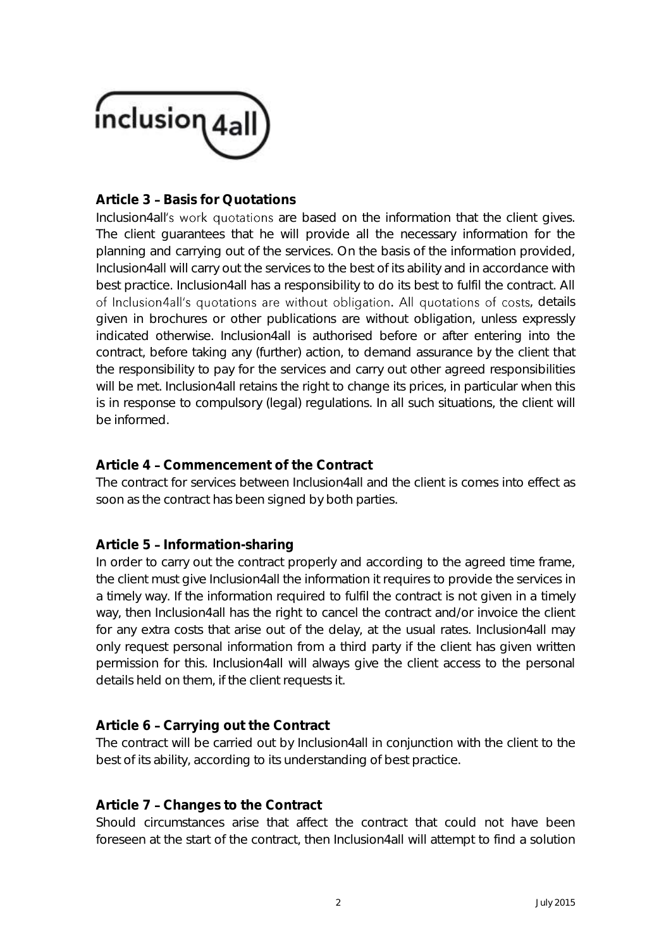

## **Article 3 - Basis for Quotations**

Inclusion4all's work quotations are based on the information that the client gives. The client guarantees that he will provide all the necessary information for the planning and carrying out of the services. On the basis of the information provided, Inclusion4all will carry out the services to the best of its ability and in accordance with best practice. Inclusion4all has a responsibility to do its best to fulfil the contract. All of Inclusion4all's quotations are without obligation. All quotations of costs, details given in brochures or other publications are without obligation, unless expressly indicated otherwise. Inclusion4all is authorised before or after entering into the contract, before taking any (further) action, to demand assurance by the client that the responsibility to pay for the services and carry out other agreed responsibilities will be met. Inclusion4all retains the right to change its prices, in particular when this is in response to compulsory (legal) regulations. In all such situations, the client will be informed.

## **Article 4 Commencement of the Contract**

The contract for services between Inclusion4all and the client is comes into effect as soon as the contract has been signed by both parties.

## Article 5 - Information-sharing

In order to carry out the contract properly and according to the agreed time frame, the client must give Inclusion4all the information it requires to provide the services in a timely way. If the information required to fulfil the contract is not given in a timely way, then Inclusion4all has the right to cancel the contract and/or invoice the client for any extra costs that arise out of the delay, at the usual rates. Inclusion4all may only request personal information from a third party if the client has given written permission for this. Inclusion4all will always give the client access to the personal details held on them, if the client requests it.

# Article 6 - Carrying out the Contract

The contract will be carried out by Inclusion4all in conjunction with the client to the best of its ability, according to its understanding of best practice.

## **Article 7 Changes to the Contract**

Should circumstances arise that affect the contract that could not have been foreseen at the start of the contract, then Inclusion4all will attempt to find a solution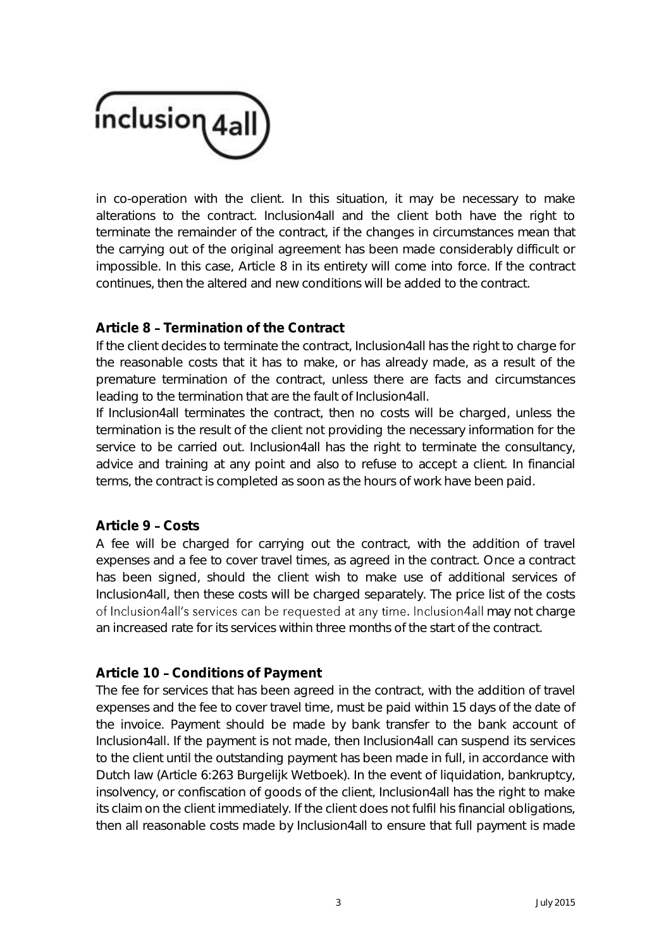

in co-operation with the client. In this situation, it may be necessary to make alterations to the contract. Inclusion4all and the client both have the right to terminate the remainder of the contract, if the changes in circumstances mean that the carrying out of the original agreement has been made considerably difficult or impossible. In this case, Article 8 in its entirety will come into force. If the contract continues, then the altered and new conditions will be added to the contract.

## **Article 8 Termination of the Contract**

If the client decides to terminate the contract, Inclusion4all has the right to charge for the reasonable costs that it has to make, or has already made, as a result of the premature termination of the contract, unless there are facts and circumstances leading to the termination that are the fault of Inclusion4all.

If Inclusion4all terminates the contract, then no costs will be charged, unless the termination is the result of the client not providing the necessary information for the service to be carried out. Inclusion4all has the right to terminate the consultancy, advice and training at any point and also to refuse to accept a client. In financial terms, the contract is completed as soon as the hours of work have been paid.

#### **Article 9 Costs**

A fee will be charged for carrying out the contract, with the addition of travel expenses and a fee to cover travel times, as agreed in the contract. Once a contract has been signed, should the client wish to make use of additional services of Inclusion4all, then these costs will be charged separately. The price list of the costs of Inclusion4all's services can be requested at any time. Inclusion4all may not charge an increased rate for its services within three months of the start of the contract.

#### Article 10 - Conditions of Payment

The fee for services that has been agreed in the contract, with the addition of travel expenses and the fee to cover travel time, must be paid within 15 days of the date of the invoice. Payment should be made by bank transfer to the bank account of Inclusion4all. If the payment is not made, then Inclusion4all can suspend its services to the client until the outstanding payment has been made in full, in accordance with Dutch law (Article 6:263 Burgelijk Wetboek). In the event of liquidation, bankruptcy, insolvency, or confiscation of goods of the client, Inclusion4all has the right to make its claim on the client immediately. If the client does not fulfil his financial obligations, then all reasonable costs made by Inclusion4all to ensure that full payment is made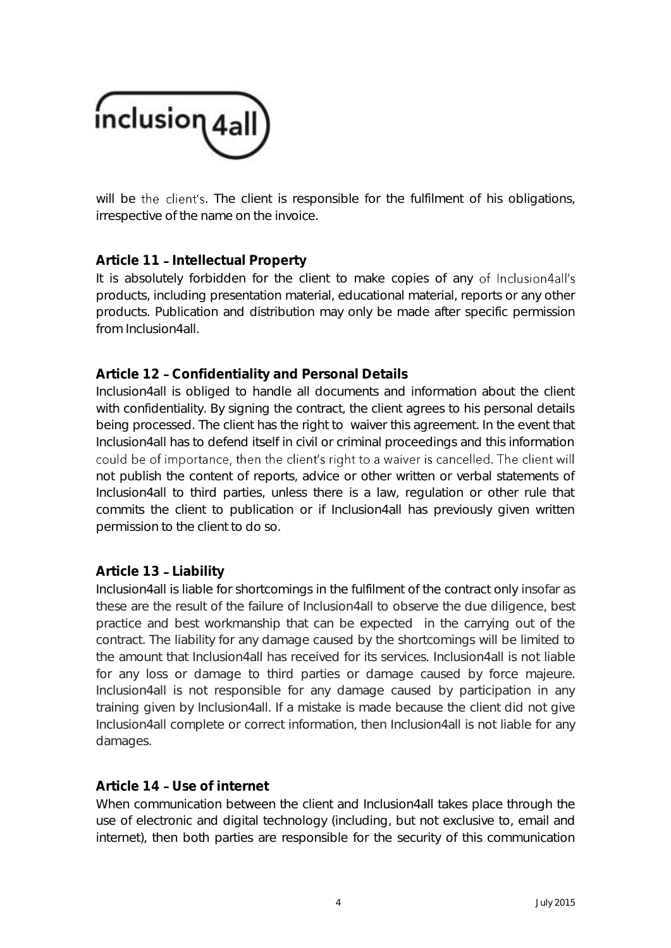

will be the client's. The client is responsible for the fulfilment of his obligations, irrespective of the name on the invoice.

## Article 11 - Intellectual Property

It is absolutely forbidden for the client to make copies of any of Inclusion4all's products, including presentation material, educational material, reports or any other products. Publication and distribution may only be made after specific permission from Inclusion4all.

## **Article 12 Confidentiality and Personal Details**

Inclusion4all is obliged to handle all documents and information about the client with confidentiality. By signing the contract, the client agrees to his personal details being processed. The client has the right to waiver this agreement. In the event that Inclusion4all has to defend itself in civil or criminal proceedings and this information could be of importance, then the client's right to a waiver is cancelled. The client will not publish the content of reports, advice or other written or verbal statements of Inclusion4all to third parties, unless there is a law, regulation or other rule that commits the client to publication or if Inclusion4all has previously given written permission to the client to do so.

#### **Article 13 Liability**

Inclusion4all is liable for shortcomings in the fulfilment of the contract only insofar as these are the result of the failure of Inclusion4all to observe the due diligence, best practice and best workmanship that can be expected in the carrying out of the contract. The liability for any damage caused by the shortcomings will be limited to the amount that Inclusion4all has received for its services. Inclusion4all is not liable for any loss or damage to third parties or damage caused by force majeure. Inclusion4all is not responsible for any damage caused by participation in any training given by Inclusion4all. If a mistake is made because the client did not give Inclusion4all complete or correct information, then Inclusion4all is not liable for any damages.

#### Article 14 - Use of internet

When communication between the client and Inclusion4all takes place through the use of electronic and digital technology (including, but not exclusive to, email and internet), then both parties are responsible for the security of this communication